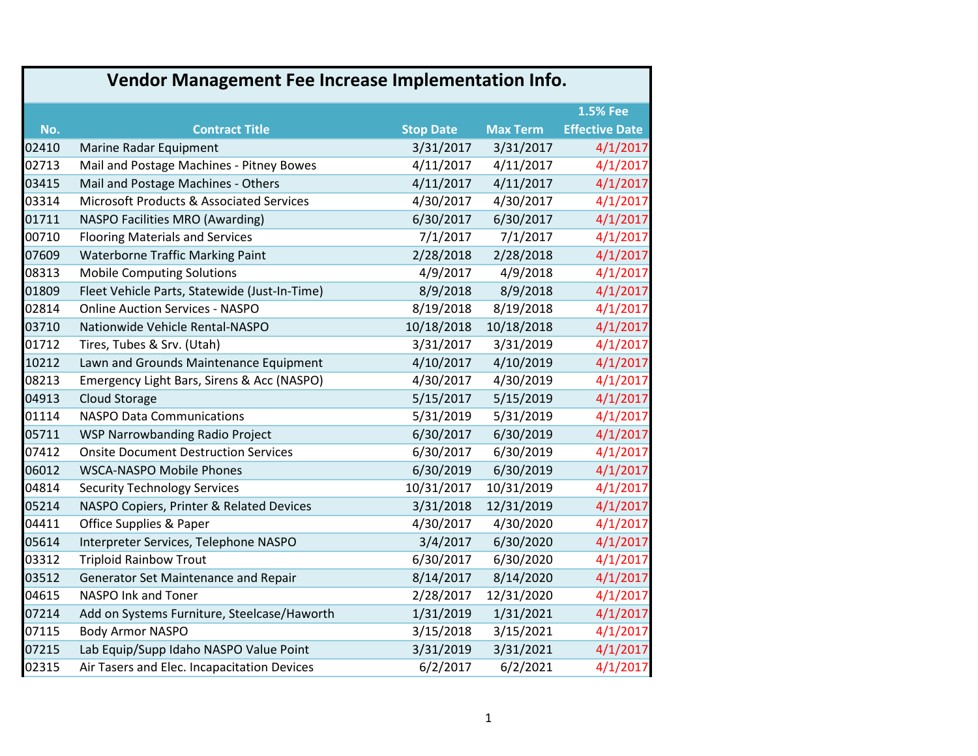| Vendor Management Fee Increase Implementation Info. |                                               |                  |                 |                       |
|-----------------------------------------------------|-----------------------------------------------|------------------|-----------------|-----------------------|
|                                                     |                                               |                  |                 | <b>1.5% Fee</b>       |
| No.                                                 | <b>Contract Title</b>                         | <b>Stop Date</b> | <b>Max Term</b> | <b>Effective Date</b> |
| 02410                                               | Marine Radar Equipment                        | 3/31/2017        | 3/31/2017       | 4/1/2017              |
| 02713                                               | Mail and Postage Machines - Pitney Bowes      | 4/11/2017        | 4/11/2017       | 4/1/2017              |
| 03415                                               | Mail and Postage Machines - Others            | 4/11/2017        | 4/11/2017       | 4/1/2017              |
| 03314                                               | Microsoft Products & Associated Services      | 4/30/2017        | 4/30/2017       | 4/1/2017              |
| 01711                                               | NASPO Facilities MRO (Awarding)               | 6/30/2017        | 6/30/2017       | 4/1/2017              |
| 00710                                               | <b>Flooring Materials and Services</b>        | 7/1/2017         | 7/1/2017        | 4/1/2017              |
| 07609                                               | <b>Waterborne Traffic Marking Paint</b>       | 2/28/2018        | 2/28/2018       | 4/1/2017              |
| 08313                                               | <b>Mobile Computing Solutions</b>             | 4/9/2017         | 4/9/2018        | 4/1/2017              |
| 01809                                               | Fleet Vehicle Parts, Statewide (Just-In-Time) | 8/9/2018         | 8/9/2018        | 4/1/2017              |
| 02814                                               | <b>Online Auction Services - NASPO</b>        | 8/19/2018        | 8/19/2018       | 4/1/2017              |
| 03710                                               | Nationwide Vehicle Rental-NASPO               | 10/18/2018       | 10/18/2018      | 4/1/2017              |
| 01712                                               | Tires, Tubes & Srv. (Utah)                    | 3/31/2017        | 3/31/2019       | 4/1/2017              |
| 10212                                               | Lawn and Grounds Maintenance Equipment        | 4/10/2017        | 4/10/2019       | 4/1/2017              |
| 08213                                               | Emergency Light Bars, Sirens & Acc (NASPO)    | 4/30/2017        | 4/30/2019       | 4/1/2017              |
| 04913                                               | Cloud Storage                                 | 5/15/2017        | 5/15/2019       | 4/1/2017              |
| 01114                                               | <b>NASPO Data Communications</b>              | 5/31/2019        | 5/31/2019       | 4/1/2017              |
| 05711                                               | WSP Narrowbanding Radio Project               | 6/30/2017        | 6/30/2019       | 4/1/2017              |
| 07412                                               | <b>Onsite Document Destruction Services</b>   | 6/30/2017        | 6/30/2019       | 4/1/2017              |
| 06012                                               | <b>WSCA-NASPO Mobile Phones</b>               | 6/30/2019        | 6/30/2019       | 4/1/2017              |
| 04814                                               | <b>Security Technology Services</b>           | 10/31/2017       | 10/31/2019      | 4/1/2017              |
| 05214                                               | NASPO Copiers, Printer & Related Devices      | 3/31/2018        | 12/31/2019      | 4/1/2017              |
| 04411                                               | Office Supplies & Paper                       | 4/30/2017        | 4/30/2020       | 4/1/2017              |
| 05614                                               | Interpreter Services, Telephone NASPO         | 3/4/2017         | 6/30/2020       | 4/1/2017              |
| 03312                                               | <b>Triploid Rainbow Trout</b>                 | 6/30/2017        | 6/30/2020       | 4/1/2017              |
| 03512                                               | Generator Set Maintenance and Repair          | 8/14/2017        | 8/14/2020       | 4/1/2017              |
| 04615                                               | NASPO Ink and Toner                           | 2/28/2017        | 12/31/2020      | 4/1/2017              |
| 07214                                               | Add on Systems Furniture, Steelcase/Haworth   | 1/31/2019        | 1/31/2021       | 4/1/2017              |
| 07115                                               | <b>Body Armor NASPO</b>                       | 3/15/2018        | 3/15/2021       | 4/1/2017              |
| 07215                                               | Lab Equip/Supp Idaho NASPO Value Point        | 3/31/2019        | 3/31/2021       | 4/1/2017              |
| 02315                                               | Air Tasers and Elec. Incapacitation Devices   | 6/2/2017         | 6/2/2021        | 4/1/2017              |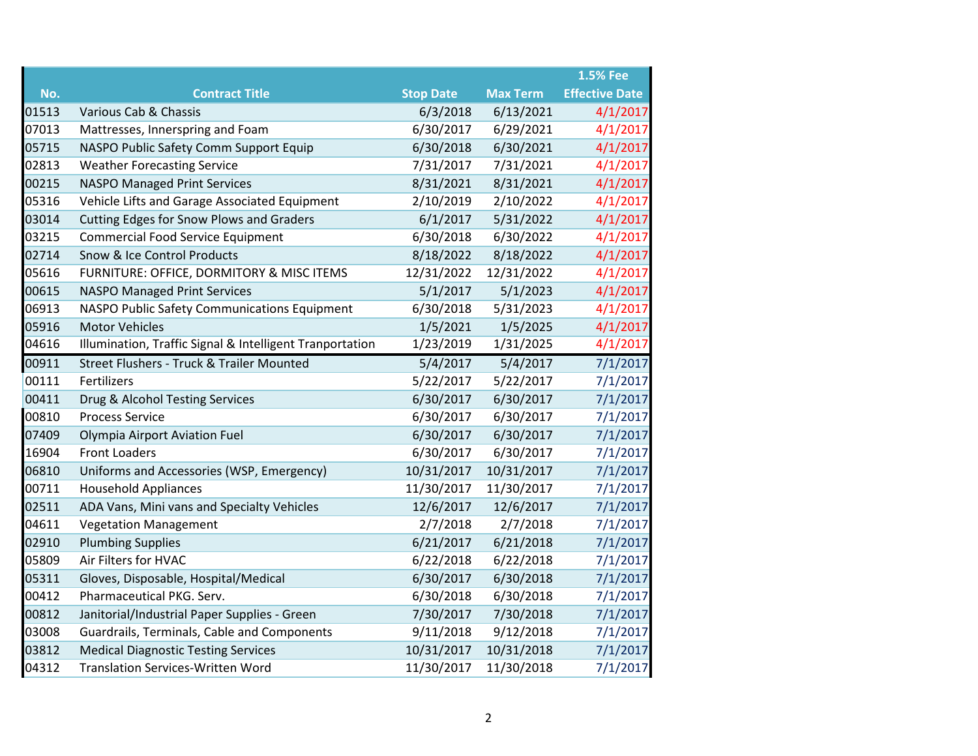|       |                                                          |                  |                 | <b>1.5% Fee</b>       |
|-------|----------------------------------------------------------|------------------|-----------------|-----------------------|
| No.   | <b>Contract Title</b>                                    | <b>Stop Date</b> | <b>Max Term</b> | <b>Effective Date</b> |
| 01513 | Various Cab & Chassis                                    | 6/3/2018         | 6/13/2021       | 4/1/2017              |
| 07013 | Mattresses, Innerspring and Foam                         | 6/30/2017        | 6/29/2021       | 4/1/2017              |
| 05715 | NASPO Public Safety Comm Support Equip                   | 6/30/2018        | 6/30/2021       | 4/1/2017              |
| 02813 | <b>Weather Forecasting Service</b>                       | 7/31/2017        | 7/31/2021       | 4/1/2017              |
| 00215 | <b>NASPO Managed Print Services</b>                      | 8/31/2021        | 8/31/2021       | 4/1/2017              |
| 05316 | Vehicle Lifts and Garage Associated Equipment            | 2/10/2019        | 2/10/2022       | 4/1/2017              |
| 03014 | Cutting Edges for Snow Plows and Graders                 | 6/1/2017         | 5/31/2022       | 4/1/2017              |
| 03215 | <b>Commercial Food Service Equipment</b>                 | 6/30/2018        | 6/30/2022       | 4/1/2017              |
| 02714 | Snow & Ice Control Products                              | 8/18/2022        | 8/18/2022       | 4/1/2017              |
| 05616 | FURNITURE: OFFICE, DORMITORY & MISC ITEMS                | 12/31/2022       | 12/31/2022      | 4/1/2017              |
| 00615 | <b>NASPO Managed Print Services</b>                      | 5/1/2017         | 5/1/2023        | 4/1/2017              |
| 06913 | NASPO Public Safety Communications Equipment             | 6/30/2018        | 5/31/2023       | 4/1/2017              |
| 05916 | <b>Motor Vehicles</b>                                    | 1/5/2021         | 1/5/2025        | 4/1/2017              |
| 04616 | Illumination, Traffic Signal & Intelligent Tranportation | 1/23/2019        | 1/31/2025       | 4/1/2017              |
| 00911 | Street Flushers - Truck & Trailer Mounted                | 5/4/2017         | 5/4/2017        | 7/1/2017              |
| 00111 | Fertilizers                                              | 5/22/2017        | 5/22/2017       | 7/1/2017              |
| 00411 | Drug & Alcohol Testing Services                          | 6/30/2017        | 6/30/2017       | 7/1/2017              |
| 00810 | <b>Process Service</b>                                   | 6/30/2017        | 6/30/2017       | 7/1/2017              |
| 07409 | <b>Olympia Airport Aviation Fuel</b>                     | 6/30/2017        | 6/30/2017       | 7/1/2017              |
| 16904 | <b>Front Loaders</b>                                     | 6/30/2017        | 6/30/2017       | 7/1/2017              |
| 06810 | Uniforms and Accessories (WSP, Emergency)                | 10/31/2017       | 10/31/2017      | 7/1/2017              |
| 00711 | <b>Household Appliances</b>                              | 11/30/2017       | 11/30/2017      | 7/1/2017              |
| 02511 | ADA Vans, Mini vans and Specialty Vehicles               | 12/6/2017        | 12/6/2017       | 7/1/2017              |
| 04611 | <b>Vegetation Management</b>                             | 2/7/2018         | 2/7/2018        | 7/1/2017              |
| 02910 | <b>Plumbing Supplies</b>                                 | 6/21/2017        | 6/21/2018       | 7/1/2017              |
| 05809 | Air Filters for HVAC                                     | 6/22/2018        | 6/22/2018       | 7/1/2017              |
| 05311 | Gloves, Disposable, Hospital/Medical                     | 6/30/2017        | 6/30/2018       | 7/1/2017              |
| 00412 | Pharmaceutical PKG. Serv.                                | 6/30/2018        | 6/30/2018       | 7/1/2017              |
| 00812 | Janitorial/Industrial Paper Supplies - Green             | 7/30/2017        | 7/30/2018       | 7/1/2017              |
| 03008 | Guardrails, Terminals, Cable and Components              | 9/11/2018        | 9/12/2018       | 7/1/2017              |
| 03812 | <b>Medical Diagnostic Testing Services</b>               | 10/31/2017       | 10/31/2018      | 7/1/2017              |
| 04312 | <b>Translation Services-Written Word</b>                 | 11/30/2017       | 11/30/2018      | 7/1/2017              |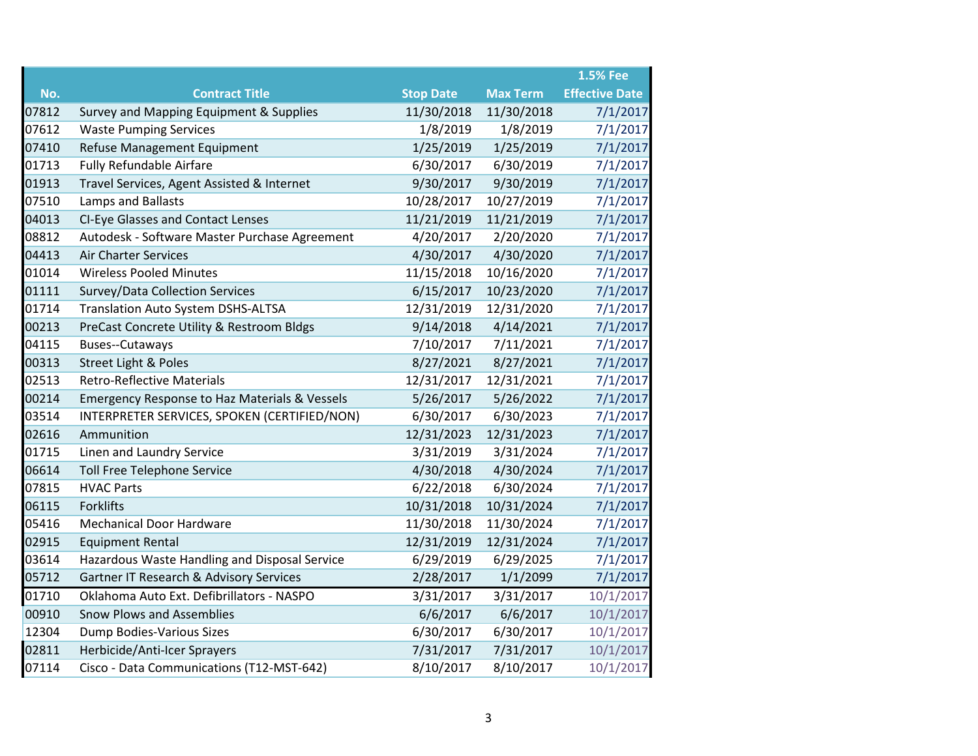|       |                                                    |                  |                 | <b>1.5% Fee</b>       |
|-------|----------------------------------------------------|------------------|-----------------|-----------------------|
| No.   | <b>Contract Title</b>                              | <b>Stop Date</b> | <b>Max Term</b> | <b>Effective Date</b> |
| 07812 | Survey and Mapping Equipment & Supplies            | 11/30/2018       | 11/30/2018      | 7/1/2017              |
| 07612 | <b>Waste Pumping Services</b>                      | 1/8/2019         | 1/8/2019        | 7/1/2017              |
| 07410 | Refuse Management Equipment                        | 1/25/2019        | 1/25/2019       | 7/1/2017              |
| 01713 | <b>Fully Refundable Airfare</b>                    | 6/30/2017        | 6/30/2019       | 7/1/2017              |
| 01913 | Travel Services, Agent Assisted & Internet         | 9/30/2017        | 9/30/2019       | 7/1/2017              |
| 07510 | Lamps and Ballasts                                 | 10/28/2017       | 10/27/2019      | 7/1/2017              |
| 04013 | <b>CI-Eye Glasses and Contact Lenses</b>           | 11/21/2019       | 11/21/2019      | 7/1/2017              |
| 08812 | Autodesk - Software Master Purchase Agreement      | 4/20/2017        | 2/20/2020       | 7/1/2017              |
| 04413 | <b>Air Charter Services</b>                        | 4/30/2017        | 4/30/2020       | 7/1/2017              |
| 01014 | <b>Wireless Pooled Minutes</b>                     | 11/15/2018       | 10/16/2020      | 7/1/2017              |
| 01111 | Survey/Data Collection Services                    | 6/15/2017        | 10/23/2020      | 7/1/2017              |
| 01714 | Translation Auto System DSHS-ALTSA                 | 12/31/2019       | 12/31/2020      | 7/1/2017              |
| 00213 | PreCast Concrete Utility & Restroom Bldgs          | 9/14/2018        | 4/14/2021       | 7/1/2017              |
| 04115 | Buses--Cutaways                                    | 7/10/2017        | 7/11/2021       | 7/1/2017              |
| 00313 | Street Light & Poles                               | 8/27/2021        | 8/27/2021       | 7/1/2017              |
| 02513 | Retro-Reflective Materials                         | 12/31/2017       | 12/31/2021      | 7/1/2017              |
| 00214 | Emergency Response to Haz Materials & Vessels      | 5/26/2017        | 5/26/2022       | 7/1/2017              |
| 03514 | INTERPRETER SERVICES, SPOKEN (CERTIFIED/NON)       | 6/30/2017        | 6/30/2023       | 7/1/2017              |
| 02616 | Ammunition                                         | 12/31/2023       | 12/31/2023      | 7/1/2017              |
| 01715 | Linen and Laundry Service                          | 3/31/2019        | 3/31/2024       | 7/1/2017              |
| 06614 | <b>Toll Free Telephone Service</b>                 | 4/30/2018        | 4/30/2024       | 7/1/2017              |
| 07815 | <b>HVAC Parts</b>                                  | 6/22/2018        | 6/30/2024       | 7/1/2017              |
| 06115 | <b>Forklifts</b>                                   | 10/31/2018       | 10/31/2024      | 7/1/2017              |
| 05416 | <b>Mechanical Door Hardware</b>                    | 11/30/2018       | 11/30/2024      | 7/1/2017              |
| 02915 | <b>Equipment Rental</b>                            | 12/31/2019       | 12/31/2024      | 7/1/2017              |
| 03614 | Hazardous Waste Handling and Disposal Service      | 6/29/2019        | 6/29/2025       | 7/1/2017              |
| 05712 | <b>Gartner IT Research &amp; Advisory Services</b> | 2/28/2017        | 1/1/2099        | 7/1/2017              |
| 01710 | Oklahoma Auto Ext. Defibrillators - NASPO          | 3/31/2017        | 3/31/2017       | 10/1/2017             |
| 00910 | <b>Snow Plows and Assemblies</b>                   | 6/6/2017         | 6/6/2017        | 10/1/2017             |
| 12304 | Dump Bodies-Various Sizes                          | 6/30/2017        | 6/30/2017       | 10/1/2017             |
| 02811 | Herbicide/Anti-Icer Sprayers                       | 7/31/2017        | 7/31/2017       | 10/1/2017             |
| 07114 | Cisco - Data Communications (T12-MST-642)          | 8/10/2017        | 8/10/2017       | 10/1/2017             |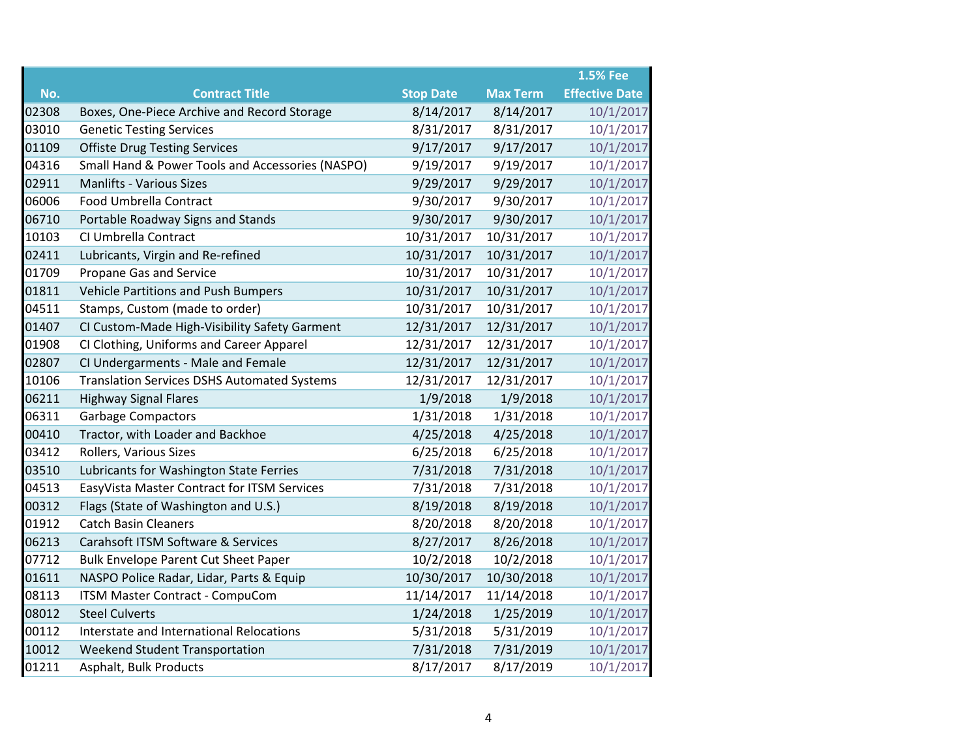|       |                                                    |                  |                 | <b>1.5% Fee</b>       |
|-------|----------------------------------------------------|------------------|-----------------|-----------------------|
| No.   | <b>Contract Title</b>                              | <b>Stop Date</b> | <b>Max Term</b> | <b>Effective Date</b> |
| 02308 | Boxes, One-Piece Archive and Record Storage        | 8/14/2017        | 8/14/2017       | 10/1/2017             |
| 03010 | <b>Genetic Testing Services</b>                    | 8/31/2017        | 8/31/2017       | 10/1/2017             |
| 01109 | <b>Offiste Drug Testing Services</b>               | 9/17/2017        | 9/17/2017       | 10/1/2017             |
| 04316 | Small Hand & Power Tools and Accessories (NASPO)   | 9/19/2017        | 9/19/2017       | 10/1/2017             |
| 02911 | <b>Manlifts - Various Sizes</b>                    | 9/29/2017        | 9/29/2017       | 10/1/2017             |
| 06006 | Food Umbrella Contract                             | 9/30/2017        | 9/30/2017       | 10/1/2017             |
| 06710 | Portable Roadway Signs and Stands                  | 9/30/2017        | 9/30/2017       | 10/1/2017             |
| 10103 | CI Umbrella Contract                               | 10/31/2017       | 10/31/2017      | 10/1/2017             |
| 02411 | Lubricants, Virgin and Re-refined                  | 10/31/2017       | 10/31/2017      | 10/1/2017             |
| 01709 | Propane Gas and Service                            | 10/31/2017       | 10/31/2017      | 10/1/2017             |
| 01811 | <b>Vehicle Partitions and Push Bumpers</b>         | 10/31/2017       | 10/31/2017      | 10/1/2017             |
| 04511 | Stamps, Custom (made to order)                     | 10/31/2017       | 10/31/2017      | 10/1/2017             |
| 01407 | CI Custom-Made High-Visibility Safety Garment      | 12/31/2017       | 12/31/2017      | 10/1/2017             |
| 01908 | CI Clothing, Uniforms and Career Apparel           | 12/31/2017       | 12/31/2017      | 10/1/2017             |
| 02807 | CI Undergarments - Male and Female                 | 12/31/2017       | 12/31/2017      | 10/1/2017             |
| 10106 | <b>Translation Services DSHS Automated Systems</b> | 12/31/2017       | 12/31/2017      | 10/1/2017             |
| 06211 | <b>Highway Signal Flares</b>                       | 1/9/2018         | 1/9/2018        | 10/1/2017             |
| 06311 | <b>Garbage Compactors</b>                          | 1/31/2018        | 1/31/2018       | 10/1/2017             |
| 00410 | Tractor, with Loader and Backhoe                   | 4/25/2018        | 4/25/2018       | 10/1/2017             |
| 03412 | Rollers, Various Sizes                             | 6/25/2018        | 6/25/2018       | 10/1/2017             |
| 03510 | Lubricants for Washington State Ferries            | 7/31/2018        | 7/31/2018       | 10/1/2017             |
| 04513 | EasyVista Master Contract for ITSM Services        | 7/31/2018        | 7/31/2018       | 10/1/2017             |
| 00312 | Flags (State of Washington and U.S.)               | 8/19/2018        | 8/19/2018       | 10/1/2017             |
| 01912 | <b>Catch Basin Cleaners</b>                        | 8/20/2018        | 8/20/2018       | 10/1/2017             |
| 06213 | Carahsoft ITSM Software & Services                 | 8/27/2017        | 8/26/2018       | 10/1/2017             |
| 07712 | <b>Bulk Envelope Parent Cut Sheet Paper</b>        | 10/2/2018        | 10/2/2018       | 10/1/2017             |
| 01611 | NASPO Police Radar, Lidar, Parts & Equip           | 10/30/2017       | 10/30/2018      | 10/1/2017             |
| 08113 | ITSM Master Contract - CompuCom                    | 11/14/2017       | 11/14/2018      | 10/1/2017             |
| 08012 | <b>Steel Culverts</b>                              | 1/24/2018        | 1/25/2019       | 10/1/2017             |
| 00112 | Interstate and International Relocations           | 5/31/2018        | 5/31/2019       | 10/1/2017             |
| 10012 | <b>Weekend Student Transportation</b>              | 7/31/2018        | 7/31/2019       | 10/1/2017             |
| 01211 | Asphalt, Bulk Products                             | 8/17/2017        | 8/17/2019       | 10/1/2017             |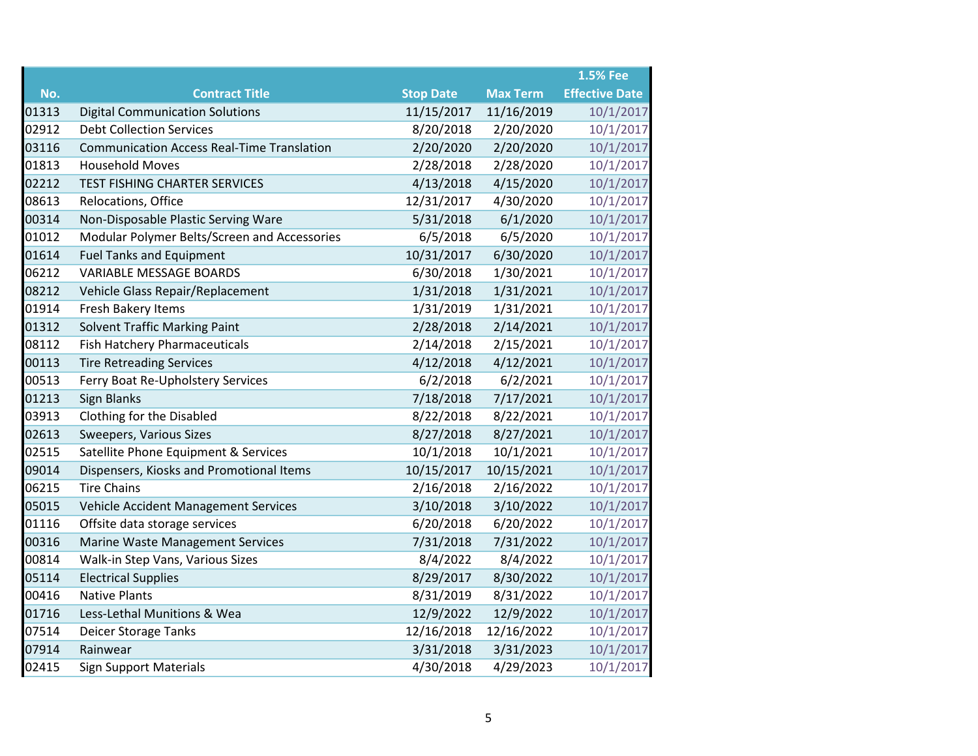|       |                                                   |                  |                 | <b>1.5% Fee</b>       |
|-------|---------------------------------------------------|------------------|-----------------|-----------------------|
| No.   | <b>Contract Title</b>                             | <b>Stop Date</b> | <b>Max Term</b> | <b>Effective Date</b> |
| 01313 | <b>Digital Communication Solutions</b>            | 11/15/2017       | 11/16/2019      | 10/1/2017             |
| 02912 | <b>Debt Collection Services</b>                   | 8/20/2018        | 2/20/2020       | 10/1/2017             |
| 03116 | <b>Communication Access Real-Time Translation</b> | 2/20/2020        | 2/20/2020       | 10/1/2017             |
| 01813 | <b>Household Moves</b>                            | 2/28/2018        | 2/28/2020       | 10/1/2017             |
| 02212 | TEST FISHING CHARTER SERVICES                     | 4/13/2018        | 4/15/2020       | 10/1/2017             |
| 08613 | Relocations, Office                               | 12/31/2017       | 4/30/2020       | 10/1/2017             |
| 00314 | Non-Disposable Plastic Serving Ware               | 5/31/2018        | 6/1/2020        | 10/1/2017             |
| 01012 | Modular Polymer Belts/Screen and Accessories      | 6/5/2018         | 6/5/2020        | 10/1/2017             |
| 01614 | <b>Fuel Tanks and Equipment</b>                   | 10/31/2017       | 6/30/2020       | 10/1/2017             |
| 06212 | <b>VARIABLE MESSAGE BOARDS</b>                    | 6/30/2018        | 1/30/2021       | 10/1/2017             |
| 08212 | Vehicle Glass Repair/Replacement                  | 1/31/2018        | 1/31/2021       | 10/1/2017             |
| 01914 | Fresh Bakery Items                                | 1/31/2019        | 1/31/2021       | 10/1/2017             |
| 01312 | <b>Solvent Traffic Marking Paint</b>              | 2/28/2018        | 2/14/2021       | 10/1/2017             |
| 08112 | Fish Hatchery Pharmaceuticals                     | 2/14/2018        | 2/15/2021       | 10/1/2017             |
| 00113 | <b>Tire Retreading Services</b>                   | 4/12/2018        | 4/12/2021       | 10/1/2017             |
| 00513 | Ferry Boat Re-Upholstery Services                 | 6/2/2018         | 6/2/2021        | 10/1/2017             |
| 01213 | Sign Blanks                                       | 7/18/2018        | 7/17/2021       | 10/1/2017             |
| 03913 | Clothing for the Disabled                         | 8/22/2018        | 8/22/2021       | 10/1/2017             |
| 02613 | Sweepers, Various Sizes                           | 8/27/2018        | 8/27/2021       | 10/1/2017             |
| 02515 | Satellite Phone Equipment & Services              | 10/1/2018        | 10/1/2021       | 10/1/2017             |
| 09014 | Dispensers, Kiosks and Promotional Items          | 10/15/2017       | 10/15/2021      | 10/1/2017             |
| 06215 | <b>Tire Chains</b>                                | 2/16/2018        | 2/16/2022       | 10/1/2017             |
| 05015 | Vehicle Accident Management Services              | 3/10/2018        | 3/10/2022       | 10/1/2017             |
| 01116 | Offsite data storage services                     | 6/20/2018        | 6/20/2022       | 10/1/2017             |
| 00316 | <b>Marine Waste Management Services</b>           | 7/31/2018        | 7/31/2022       | 10/1/2017             |
| 00814 | Walk-in Step Vans, Various Sizes                  | 8/4/2022         | 8/4/2022        | 10/1/2017             |
| 05114 | <b>Electrical Supplies</b>                        | 8/29/2017        | 8/30/2022       | 10/1/2017             |
| 00416 | <b>Native Plants</b>                              | 8/31/2019        | 8/31/2022       | 10/1/2017             |
| 01716 | Less-Lethal Munitions & Wea                       | 12/9/2022        | 12/9/2022       | 10/1/2017             |
| 07514 | Deicer Storage Tanks                              | 12/16/2018       | 12/16/2022      | 10/1/2017             |
| 07914 | Rainwear                                          | 3/31/2018        | 3/31/2023       | 10/1/2017             |
| 02415 | <b>Sign Support Materials</b>                     | 4/30/2018        | 4/29/2023       | 10/1/2017             |